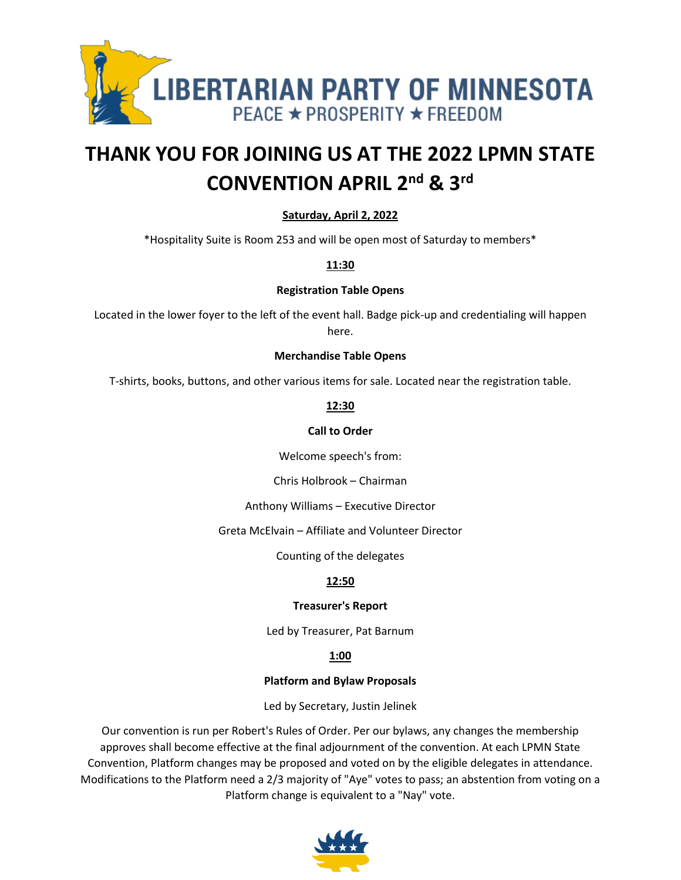

# **THANK YOU FOR JOINING US AT THE 2022 LPMN STATE CONVENTION APRIL 2nd & 3rd**

# **Saturday, April 2, 2022**

\*Hospitality Suite is Room 253 and will be open most of Saturday to members\*

**11:30**

## **Registration Table Opens**

Located in the lower foyer to the left of the event hall. Badge pick-up and credentialing will happen here.

#### **Merchandise Table Opens**

T-shirts, books, buttons, and other various items for sale. Located near the registration table.

**12:30**

# **Call to Order**

Welcome speech's from:

Chris Holbrook – Chairman

Anthony Williams – Executive Director

Greta McElvain – Affiliate and Volunteer Director

Counting of the delegates

# **12:50**

# **Treasurer's Report**

Led by Treasurer, Pat Barnum

# **1:00**

# **Platform and Bylaw Proposals**

Led by Secretary, Justin Jelinek

Our convention is run per Robert's Rules of Order. Per our bylaws, any changes the membership approves shall become effective at the final adjournment of the convention. At each LPMN State Convention, Platform changes may be proposed and voted on by the eligible delegates in attendance. Modifications to the Platform need a 2/3 majority of "Aye" votes to pass; an abstention from voting on a Platform change is equivalent to a "Nay" vote.

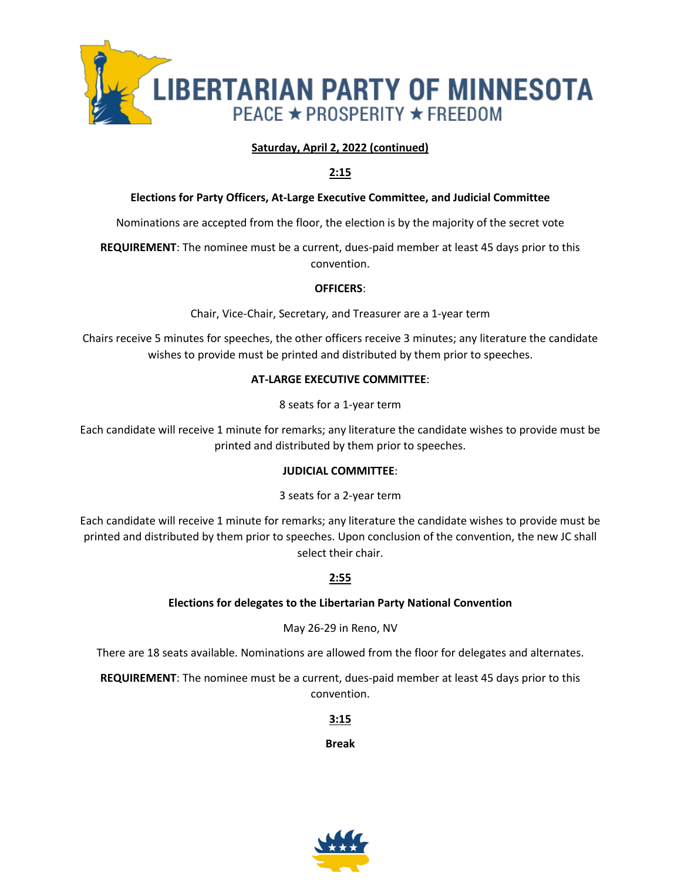

# **Saturday, April 2, 2022 (continued)**

## **2:15**

## **Elections for Party Officers, At-Large Executive Committee, and Judicial Committee**

Nominations are accepted from the floor, the election is by the majority of the secret vote

**REQUIREMENT**: The nominee must be a current, dues-paid member at least 45 days prior to this convention.

#### **OFFICERS**:

Chair, Vice-Chair, Secretary, and Treasurer are a 1-year term

Chairs receive 5 minutes for speeches, the other officers receive 3 minutes; any literature the candidate wishes to provide must be printed and distributed by them prior to speeches.

#### **AT-LARGE EXECUTIVE COMMITTEE**:

8 seats for a 1-year term

Each candidate will receive 1 minute for remarks; any literature the candidate wishes to provide must be printed and distributed by them prior to speeches.

#### **JUDICIAL COMMITTEE**:

#### 3 seats for a 2-year term

Each candidate will receive 1 minute for remarks; any literature the candidate wishes to provide must be printed and distributed by them prior to speeches. Upon conclusion of the convention, the new JC shall select their chair.

#### **2:55**

#### **Elections for delegates to the Libertarian Party National Convention**

#### May 26-29 in Reno, NV

There are 18 seats available. Nominations are allowed from the floor for delegates and alternates.

**REQUIREMENT**: The nominee must be a current, dues-paid member at least 45 days prior to this convention.

**3:15**

**Break**

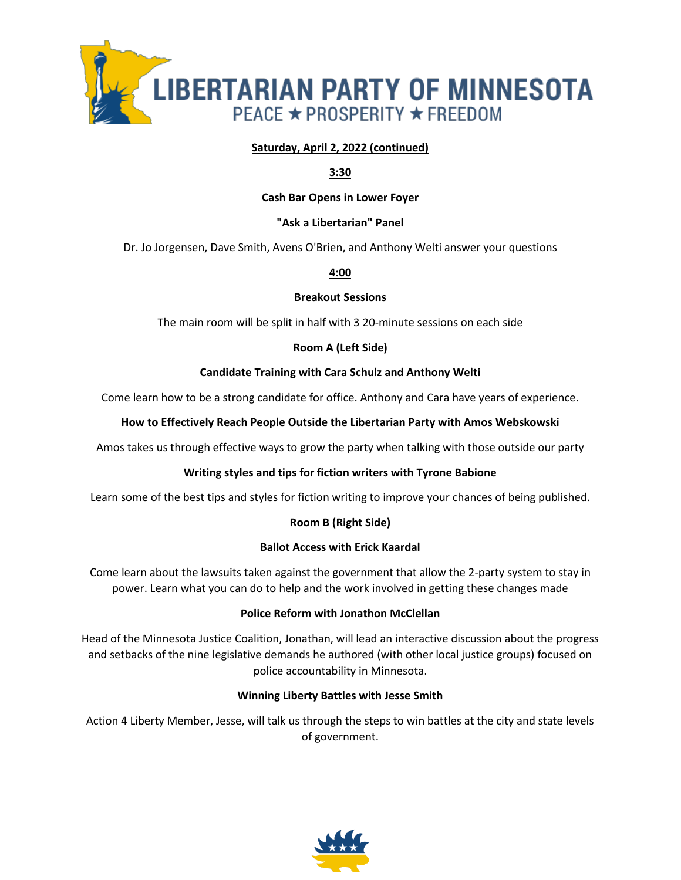

## **Saturday, April 2, 2022 (continued)**

## **3:30**

#### **Cash Bar Opens in Lower Foyer**

## **"Ask a Libertarian" Panel**

Dr. Jo Jorgensen, Dave Smith, Avens O'Brien, and Anthony Welti answer your questions

#### **4:00**

#### **Breakout Sessions**

The main room will be split in half with 3 20-minute sessions on each side

#### **Room A (Left Side)**

#### **Candidate Training with Cara Schulz and Anthony Welti**

Come learn how to be a strong candidate for office. Anthony and Cara have years of experience.

#### **How to Effectively Reach People Outside the Libertarian Party with Amos Webskowski**

Amos takes us through effective ways to grow the party when talking with those outside our party

#### **Writing styles and tips for fiction writers with Tyrone Babione**

Learn some of the best tips and styles for fiction writing to improve your chances of being published.

#### **Room B (Right Side)**

#### **Ballot Access with Erick Kaardal**

Come learn about the lawsuits taken against the government that allow the 2-party system to stay in power. Learn what you can do to help and the work involved in getting these changes made

#### **Police Reform with Jonathon McClellan**

Head of the Minnesota Justice Coalition, Jonathan, will lead an interactive discussion about the progress and setbacks of the nine legislative demands he authored (with other local justice groups) focused on police accountability in Minnesota.

#### **Winning Liberty Battles with Jesse Smith**

Action 4 Liberty Member, Jesse, will talk us through the steps to win battles at the city and state levels of government.

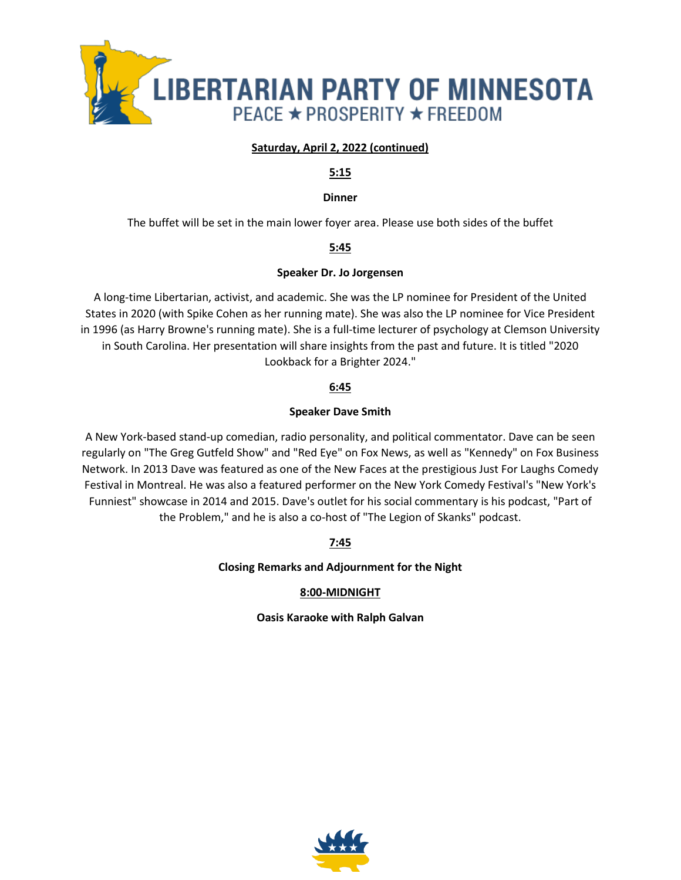

# **Saturday, April 2, 2022 (continued)**

#### **5:15**

#### **Dinner**

The buffet will be set in the main lower foyer area. Please use both sides of the buffet

# **5:45**

## **Speaker Dr. Jo Jorgensen**

A long-time Libertarian, activist, and academic. She was the LP nominee for President of the United States in 2020 (with Spike Cohen as her running mate). She was also the LP nominee for Vice President in 1996 (as Harry Browne's running mate). She is a full-time lecturer of psychology at Clemson University in South Carolina. Her presentation will share insights from the past and future. It is titled "2020 Lookback for a Brighter 2024."

# **6:45**

# **Speaker Dave Smith**

A New York-based stand-up comedian, radio personality, and political commentator. Dave can be seen regularly on "The Greg Gutfeld Show" and "Red Eye" on Fox News, as well as "Kennedy" on Fox Business Network. In 2013 Dave was featured as one of the New Faces at the prestigious Just For Laughs Comedy Festival in Montreal. He was also a featured performer on the New York Comedy Festival's "New York's Funniest" showcase in 2014 and 2015. Dave's outlet for his social commentary is his podcast, "Part of the Problem," and he is also a co-host of "The Legion of Skanks" podcast.

**7:45**

**Closing Remarks and Adjournment for the Night**

# **8:00-MIDNIGHT**

**Oasis Karaoke with Ralph Galvan**

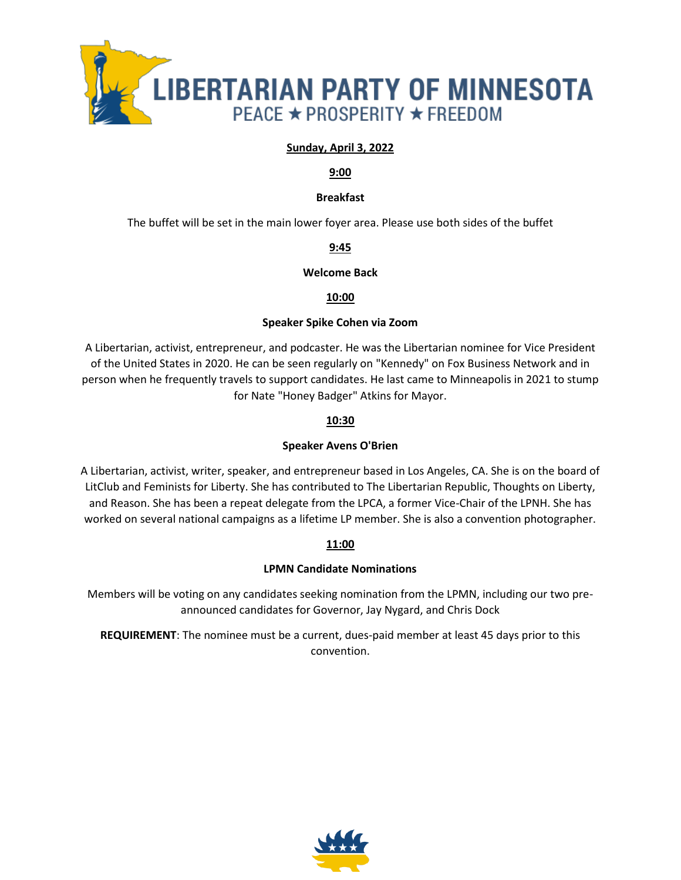

## **Sunday, April 3, 2022**

#### **9:00**

## **Breakfast**

The buffet will be set in the main lower foyer area. Please use both sides of the buffet

# **9:45**

## **Welcome Back**

## **10:00**

#### **Speaker Spike Cohen via Zoom**

A Libertarian, activist, entrepreneur, and podcaster. He was the Libertarian nominee for Vice President of the United States in 2020. He can be seen regularly on "Kennedy" on Fox Business Network and in person when he frequently travels to support candidates. He last came to Minneapolis in 2021 to stump for Nate "Honey Badger" Atkins for Mayor.

#### **10:30**

## **Speaker Avens O'Brien**

A Libertarian, activist, writer, speaker, and entrepreneur based in Los Angeles, CA. She is on the board of LitClub and Feminists for Liberty. She has contributed to The Libertarian Republic, Thoughts on Liberty, and Reason. She has been a repeat delegate from the LPCA, a former Vice-Chair of the LPNH. She has worked on several national campaigns as a lifetime LP member. She is also a convention photographer.

#### **11:00**

# **LPMN Candidate Nominations**

Members will be voting on any candidates seeking nomination from the LPMN, including our two preannounced candidates for Governor, Jay Nygard, and Chris Dock

**REQUIREMENT**: The nominee must be a current, dues-paid member at least 45 days prior to this convention.